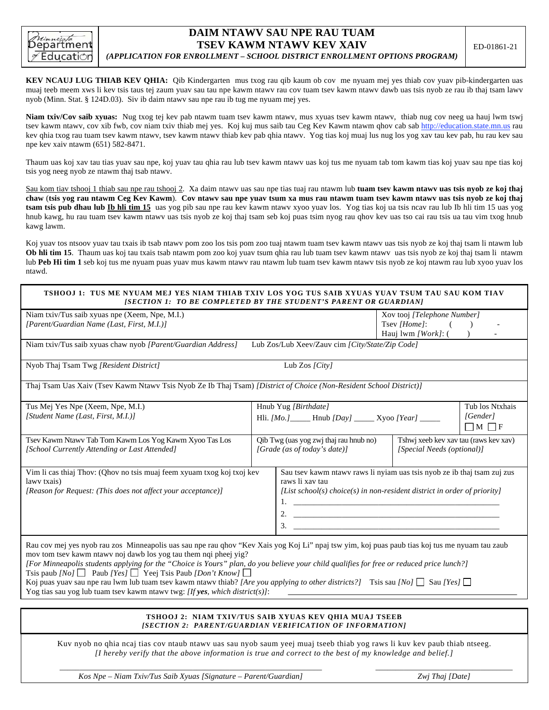

## **DAIM NTAWV SAU NPE RAU TUAM TSEV KAWM NTAWV KEV XAIV**

## *(APPLICATION FOR ENROLLMENT – SCHOOL DISTRICT ENROLLMENT OPTIONS PROGRAM)*

**KEV NCAUJ LUG THIAB KEV QHIA:** Qib Kindergarten mus txog rau qib kaum ob cov me nyuam mej yes thiab cov yuav pib-kindergarten uas muaj teeb meem xws li kev tsis taus tej zaum yuav sau tau npe kawm ntawv rau cov tuam tsev kawm ntawv dawb uas tsis nyob ze rau ib thaj tsam lawv nyob (Minn. Stat. § 124D.03). Siv ib daim ntawv sau npe rau ib tug me nyuam mej yes.

**Niam txiv/Cov saib xyuas:** Nug txog tej kev pab ntawm tuam tsev kawm ntawv, mus xyuas tsev kawm ntawv, thiab nug cov neeg ua hauj lwm tswj tsev kawm ntawy, cov xib fwb, cov niam txiv thiab mej yes. Koj kuj mus saib tau Ceg Key Kawm ntawm qhov cab sab http://education.state.mn.us rau kev qhia txog rau tuam tsev kawm ntawv, tsev kawm ntawv thiab kev pab qhia ntawv. Yog tias koj muaj lus nug los yog xav tau kev pab, hu rau kev sau npe kev xaiv ntawm (651) 582-8471.

Thaum uas koj xav tau tias yuav sau npe, koj yuav tau qhia rau lub tsev kawm ntawv uas koj tus me nyuam tab tom kawm tias koj yuav sau npe tias koj tsis yog neeg nyob ze ntawm thaj tsab ntawv.

Sau kom tiav tshooj 1 thiab sau npe rau tshooj 2. Xa daim ntawv uas sau npe tias tuaj rau ntawm lub **tuam tsev kawm ntawv uas tsis nyob ze koj thaj chaw** (**tsis yog rau ntawm Ceg Kev Kawm**). **Cov ntawv sau npe yuav tsum xa mus rau ntawm tuam tsev kawm ntawv uas tsis nyob ze koj thaj tsam tsis pub dhau lub Ib hli tim 15** uas yog pib sau npe rau kev kawm ntawv xyoo yuav los. Yog tias koj ua tsis ncav rau lub Ib hli tim 15 uas yog hnub kawg, hu rau tuam tsev kawm ntawy uas tsis nyob ze koj thaj tsam seb koj puas tsim nyog rau qhov kev uas tso cai rau tsis ua tau vim txog hnub kawg lawm.

Koj yuav tos ntsoov yuav tau txais ib tsab ntawy pom zoo los tsis pom zoo tuaj ntawm tuam tsev kawm ntawy uas tsis nyob ze koj thaj tsam li ntawm lub **Ob hli tim 15**. Thaum uas koj tau txais tsab ntawm pom zoo koj yuav tsum qhia rau lub tuam tsev kawm ntawv uas tsis nyob ze koj thaj tsam li ntawm lub **Peb Hi tim 1** seb koj tus me nyuam puas yuav mus kawm ntawv rau ntawm lub tuam tsev kawm ntawv tsis nyob ze koj ntawm rau lub xyoo yuav los ntawd.

| TSHOOJ 1:  TUS ME NYUAM MEJ YES NIAM THIAB TXIV LOS YOG TUS SAIB XYUAS YUAV TSUM TAU SAU KOM TIAV<br>[SECTION 1: TO BE COMPLETED BY THE STUDENT'S PARENT OR GUARDIAN] |                                                                        |                                                                                                                                                                              |                                                                         |  |  |
|-----------------------------------------------------------------------------------------------------------------------------------------------------------------------|------------------------------------------------------------------------|------------------------------------------------------------------------------------------------------------------------------------------------------------------------------|-------------------------------------------------------------------------|--|--|
| Niam txiv/Tus saib xyuas npe (Xeem, Npe, M.I.)<br>[Parent/Guardian Name (Last, First, M.I.)]                                                                          |                                                                        |                                                                                                                                                                              | Xov tooj [Telephone Number]<br>Tsev [Home]:<br>Hauj $ Work\rangle$ : () |  |  |
| Niam txiv/Tus saib xyuas chaw nyob [Parent/Guardian Address]<br>Lub Zos/Lub Xeev/Zauv cim [City/State/Zip Code]                                                       |                                                                        |                                                                                                                                                                              |                                                                         |  |  |
| Nyob Thaj Tsam Twg [Resident District]                                                                                                                                |                                                                        | Lub Zos $\left[City\right]$                                                                                                                                                  |                                                                         |  |  |
| Thaj Tsam Uas Xaiv (Tsev Kawm Ntawy Tsis Nyob Ze Ib Thaj Tsam) <i>[District of Choice (Non-Resident School District)]</i>                                             |                                                                        |                                                                                                                                                                              |                                                                         |  |  |
| Tus Mej Yes Npe (Xeem, Npe, M.I.)                                                                                                                                     |                                                                        | Tub los Ntxhais<br>Hnub Yug [Birthdate]                                                                                                                                      |                                                                         |  |  |
| [Student Name (Last, First, M.I.)]                                                                                                                                    |                                                                        | [Gender]<br>Hli. [Mo.] ______ Hnub [Day] ______ Xyoo [Year] _____<br>$\Box$ M $\Box$ F                                                                                       |                                                                         |  |  |
| Tsev Kawm Ntawy Tab Tom Kawm Los Yog Kawm Xyoo Tas Los<br>[School Currently Attending or Last Attended]                                                               | Qib Twg (uas yog zwj thaj rau hnub no)<br>[Grade (as of today's date)] |                                                                                                                                                                              | Tshwj xeeb kev xav tau (raws kev xav)<br>[Special Needs (optional)]     |  |  |
| Vim li cas thiaj Thov: (Qhov no tsis muaj feem xyuam txog koj txoj kev<br>lawy txais)<br>[Reason for Request: (This does not affect your acceptance)]                 |                                                                        | Sau tsev kawm ntawv raws li nyiam uas tsis nyob ze ib thaj tsam zuj zus<br>raws li xav tau<br>[List school(s) choice(s) in non-resident district in order of priority]<br>3. |                                                                         |  |  |

Rau cov mej yes nyob rau zos Minneapolis uas sau npe rau qhov "Kev Xais yog Koj Li" npaj tsw yim, koj puas paub tias koj tus me nyuam tau zaub mov tom tsev kawm ntawv noj dawb los yog tau them nqi pheej yig?

*[For Minneapolis students applying for the "Choice is Yours" plan, do you believe your child qualifies for free or reduced price lunch?]*  Tsis paub *[No]*  $\Box$  Paub *[Yes]*  $\Box$  Yeej Tsis Paub *[Don't Know]*  $\Box$ 

Koj puas yuav sau npe rau lwm lub tuam tsev kawm ntawv thiab? [Are you applying to other districts?] Tsis sau [No]  $\Box$  Sau [Yes]  $\Box$ Yog tias sau yog lub tuam tsev kawm ntawv twg: *[If yes, which district(s)]*:

## **TSHOOJ 2: NIAM TXIV/TUS SAIB XYUAS KEV QHIA MUAJ TSEEB**  *[SECTION 2: PARENT/GUARDIAN VERIFICATION OF INFORMATION]*

Kuv nyob no qhia ncaj tias cov ntaub ntawv uas sau nyob saum yeej muaj tseeb thiab yog raws li kuv kev paub thiab ntseeg. *[I hereby verify that the above information is true and correct to the best of my knowledge and belief.]*

\_\_\_\_\_\_\_\_\_\_\_\_\_\_\_\_\_\_\_\_\_\_\_\_\_\_\_\_\_\_\_\_\_\_\_\_\_\_\_\_\_\_\_\_\_\_\_\_\_\_\_\_\_\_\_\_\_\_\_\_\_\_\_\_\_ *Kos Npe – Niam Txiv/Tus Saib Xyuas [Signature – Parent/Guardian]* 

\_\_\_\_\_\_\_\_\_\_\_\_\_\_\_\_\_\_\_\_\_\_\_\_\_\_\_\_\_\_\_\_\_\_ *Zwj Thaj [Date]*